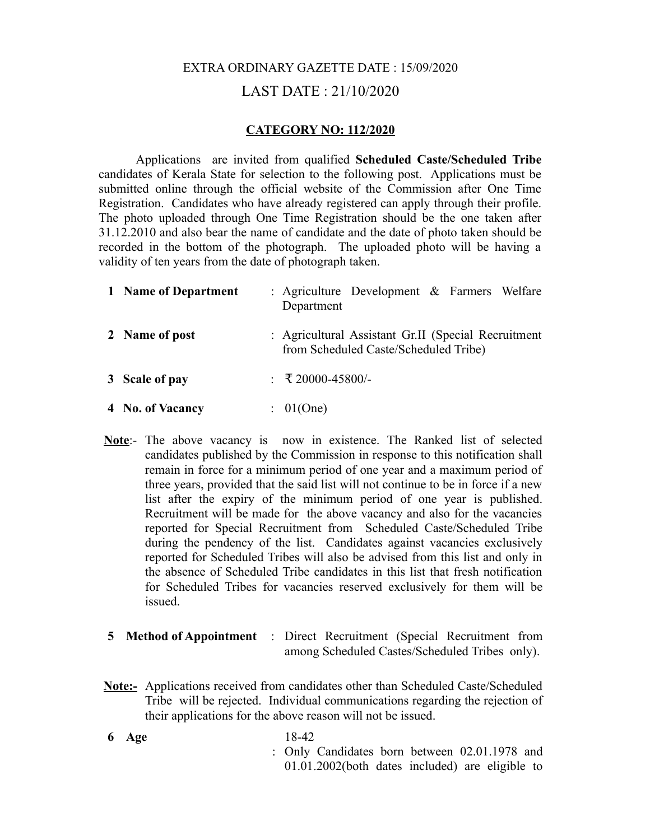# EXTRA ORDINARY GAZETTE DATE : 15/09/2020 LAST DATE : 21/10/2020

#### **CATEGORY NO: 112/2020**

Applications are invited from qualified **Scheduled Caste/Scheduled Tribe** candidates of Kerala State for selection to the following post. Applications must be submitted online through the official website of the Commission after One Time Registration. Candidates who have already registered can apply through their profile. The photo uploaded through One Time Registration should be the one taken after 31.12.2010 and also bear the name of candidate and the date of photo taken should be recorded in the bottom of the photograph. The uploaded photo will be having a validity of ten years from the date of photograph taken.

| 1 Name of Department | : Agriculture Development $\&$ Farmers Welfare<br>Department                                 |
|----------------------|----------------------------------------------------------------------------------------------|
| 2 Name of post       | : Agricultural Assistant Gr.II (Special Recruitment<br>from Scheduled Caste/Scheduled Tribe) |
| 3 Scale of pay       | : ₹20000-45800/-                                                                             |
| 4 No. of Vacancy     | : 01(One)                                                                                    |

- **Note**:- The above vacancy is now in existence. The Ranked list of selected candidates published by the Commission in response to this notification shall remain in force for a minimum period of one year and a maximum period of three years, provided that the said list will not continue to be in force if a new list after the expiry of the minimum period of one year is published. Recruitment will be made for the above vacancy and also for the vacancies reported for Special Recruitment from Scheduled Caste/Scheduled Tribe during the pendency of the list. Candidates against vacancies exclusively reported for Scheduled Tribes will also be advised from this list and only in the absence of Scheduled Tribe candidates in this list that fresh notification for Scheduled Tribes for vacancies reserved exclusively for them will be issued.
- **5 Method of Appointment** : Direct Recruitment (Special Recruitment from among Scheduled Castes/Scheduled Tribes only).
- **Note:-** Applications received from candidates other than Scheduled Caste/Scheduled Tribe will be rejected. Individual communications regarding the rejection of their applications for the above reason will not be issued.
- **6 Age**  : Only Candidates born between 02.01.1978 and 18-42 01.01.2002(both dates included) are eligible to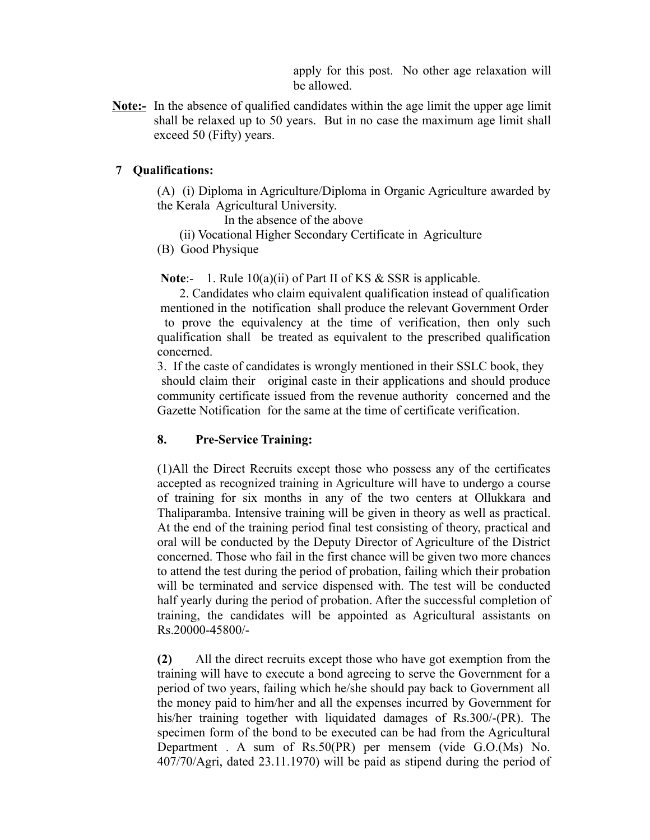apply for this post. No other age relaxation will be allowed.

**Note:-** In the absence of qualified candidates within the age limit the upper age limit shall be relaxed up to 50 years. But in no case the maximum age limit shall exceed 50 (Fifty) years.

# **7 Qualifications:**

 (A) (i) Diploma in Agriculture/Diploma in Organic Agriculture awarded by the Kerala Agricultural University.

In the absence of the above

- (ii) Vocational Higher Secondary Certificate in Agriculture
- (B) Good Physique

**Note:-** 1. Rule 10(a)(ii) of Part II of KS & SSR is applicable.

 2. Candidates who claim equivalent qualification instead of qualification mentioned in the notification shall produce the relevant Government Order to prove the equivalency at the time of verification, then only such qualification shall be treated as equivalent to the prescribed qualification concerned.

3. If the caste of candidates is wrongly mentioned in their SSLC book, they should claim their original caste in their applications and should produce community certificate issued from the revenue authority concerned and the Gazette Notification for the same at the time of certificate verification.

# **8. Pre-Service Training:**

(1)All the Direct Recruits except those who possess any of the certificates accepted as recognized training in Agriculture will have to undergo a course of training for six months in any of the two centers at Ollukkara and Thaliparamba. Intensive training will be given in theory as well as practical. At the end of the training period final test consisting of theory, practical and oral will be conducted by the Deputy Director of Agriculture of the District concerned. Those who fail in the first chance will be given two more chances to attend the test during the period of probation, failing which their probation will be terminated and service dispensed with. The test will be conducted half yearly during the period of probation. After the successful completion of training, the candidates will be appointed as Agricultural assistants on Rs.20000-45800/-

**(2)** All the direct recruits except those who have got exemption from the training will have to execute a bond agreeing to serve the Government for a period of two years, failing which he/she should pay back to Government all the money paid to him/her and all the expenses incurred by Government for his/her training together with liquidated damages of Rs.300/-(PR). The specimen form of the bond to be executed can be had from the Agricultural Department . A sum of Rs.50(PR) per mensem (vide G.O.(Ms) No. 407/70/Agri, dated 23.11.1970) will be paid as stipend during the period of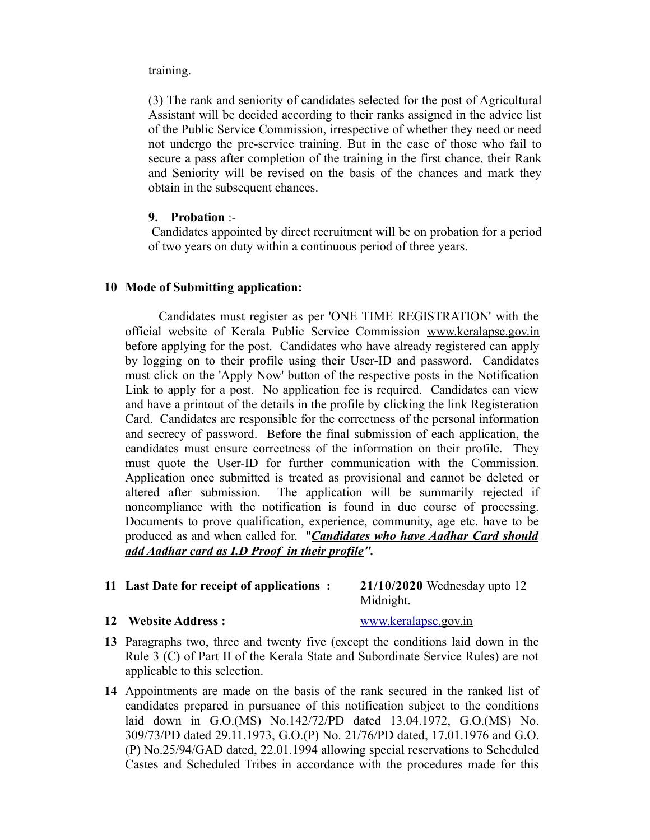#### training.

(3) The rank and seniority of candidates selected for the post of Agricultural Assistant will be decided according to their ranks assigned in the advice list of the Public Service Commission, irrespective of whether they need or need not undergo the pre-service training. But in the case of those who fail to secure a pass after completion of the training in the first chance, their Rank and Seniority will be revised on the basis of the chances and mark they obtain in the subsequent chances.

# **9. Probation** :-

 Candidates appointed by direct recruitment will be on probation for a period of two years on duty within a continuous period of three years.

# **10 Mode of Submitting application:**

 Candidates must register as per 'ONE TIME REGISTRATION' with the official website of Kerala Public Service Commission [www.keralapsc.gov.in](http://www.keralapsc.gov.in/) before applying for the post. Candidates who have already registered can apply by logging on to their profile using their User-ID and password. Candidates must click on the 'Apply Now' button of the respective posts in the Notification Link to apply for a post. No application fee is required. Candidates can view and have a printout of the details in the profile by clicking the link Registeration Card. Candidates are responsible for the correctness of the personal information and secrecy of password. Before the final submission of each application, the candidates must ensure correctness of the information on their profile. They must quote the User-ID for further communication with the Commission. Application once submitted is treated as provisional and cannot be deleted or altered after submission. The application will be summarily rejected if noncompliance with the notification is found in due course of processing. Documents to prove qualification, experience, community, age etc. have to be produced as and when called for. "*Candidates who have Aadhar Card should add Aadhar card as I.D Proof in their profile".*

# **11 Last Date for receipt of applications : 21/10/2020** Wednesday upto 12

Midnight.

# **12 Website Address :** [www.keralapsc.gov.in](http://www.keralapsc.gov.in/)

- **13** Paragraphs two, three and twenty five (except the conditions laid down in the Rule 3 (C) of Part II of the Kerala State and Subordinate Service Rules) are not applicable to this selection.
- **14** Appointments are made on the basis of the rank secured in the ranked list of candidates prepared in pursuance of this notification subject to the conditions laid down in G.O.(MS) No.142/72/PD dated 13.04.1972, G.O.(MS) No. 309/73/PD dated 29.11.1973, G.O.(P) No. 21/76/PD dated, 17.01.1976 and G.O. (P) No.25/94/GAD dated, 22.01.1994 allowing special reservations to Scheduled Castes and Scheduled Tribes in accordance with the procedures made for this